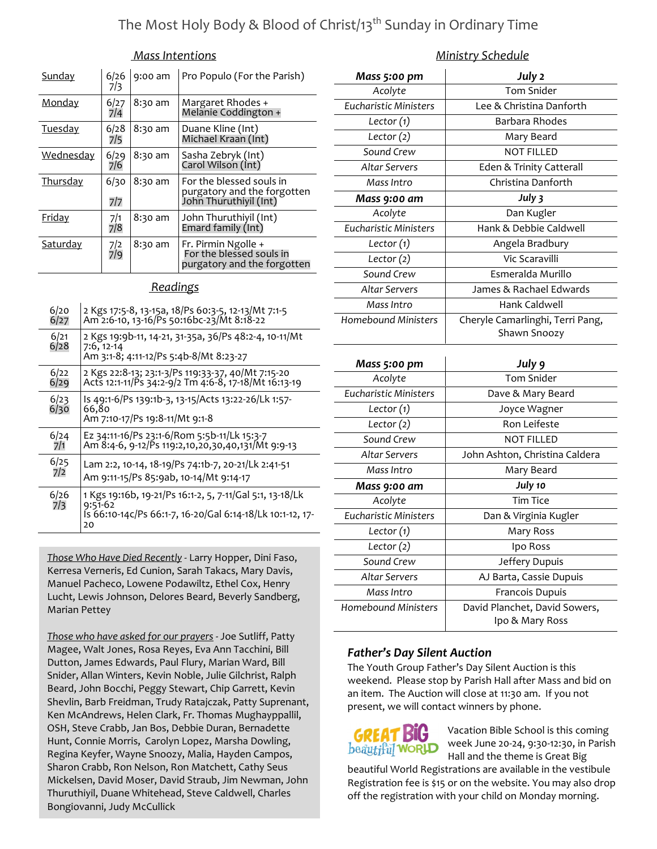## The Most Holy Body & Blood of Christ/13<sup>th</sup> Sunday in Ordinary Time

#### Mass Intentions

| <b>Sunday</b>    | 6/26<br>7/3 | 9:00 am | Pro Populo (For the Parish)                                                       |
|------------------|-------------|---------|-----------------------------------------------------------------------------------|
| <u>Monday</u>    | 6/27<br>7/4 | 8:30 am | Margaret Rhodes +<br>Melanie Coddington +                                         |
| <b>Tuesday</b>   | 6/28<br>7/5 | 8:30 am | Duane Kline (Int)<br>Michael Kraan (Int)                                          |
| <u>Wednesday</u> | 6/29<br>7/6 | 8:30 am | Sasha Zebryk (Int)<br>Carol Wilson (Int)                                          |
| Thursday         | 6/30<br>7/7 | 8:30 am | For the blessed souls in<br>purgatory and the forgotten<br>John Thuruthiyil (Int) |
| <b>Friday</b>    | 7/1<br>7/8  | 8:30 am | John Thuruthiyil (Int)<br>Emard family (Int)                                      |
| <u>Saturdav</u>  | 7/2<br>7/9  | 8:30 am | Fr. Pirmin Ngolle +<br>For the blessed souls in<br>purgatory and the forgotten    |

#### **Readings**

| 2 Kgs 17:5-8, 13-15a, 18/Ps 60:3-5, 12-13/Mt 7:1-5<br>Am 2:6-10, 13-16/Ps 50:16bc-23/Mt 8:18-22                                          |
|------------------------------------------------------------------------------------------------------------------------------------------|
| 2 Kgs 19:9b-11, 14-21, 31-35a, 36/Ps 48:2-4, 10-11/Mt<br>$7:6, 12-14$<br>Am 3:1-8; 4:11-12/Ps 5:4b-8/Mt 8:23-27                          |
| 2 Kgs 22:8-13; 23:1-3/Ps 119:33-37, 40/Mt 7:15-20<br>Acts 12:1-11/Ps 34:2-9/2 Tm 4:6-8, 17-18/Mt 16:13-19                                |
| Is 49:1-6/Ps 139:1b-3, 13-15/Acts 13:22-26/Lk 1:57-<br>66,80<br>Am 7:10-17/Ps 19:8-11/Mt 9:1-8                                           |
| Ez 34:11-16/Ps 23:1-6/Rom 5:5b-11/Lk 15:3-7<br>Am 8:4-6, 9-12/Ps 119:2,10,20,30,40,131/Mt 9:9-13                                         |
| Lam 2:2, 10-14, 18-19/Ps 74:1b-7, 20-21/Lk 2:41-51<br>Am 9:11-15/Ps 85:9ab, 10-14/Mt 9:14-17                                             |
| 1 Kgs 19:16b, 19-21/Ps 16:1-2, 5, 7-11/Gal 5:1, 13-18/Lk<br>$9:51-62$<br>Is 66:10-14c/Ps 66:1-7, 16-20/Gal 6:14-18/Lk 10:1-12, 17-<br>20 |
|                                                                                                                                          |

Those Who Have Died Recently - Larry Hopper, Dini Faso, Kerresa Verneris, Ed Cunion, Sarah Takacs, Mary Davis, Manuel Pacheco, Lowene Podawiltz, Ethel Cox, Henry Lucht, Lewis Johnson, Delores Beard, Beverly Sandberg, Marian Pettey

Those who have asked for our prayers - Joe Sutliff, Patty Magee, Walt Jones, Rosa Reyes, Eva Ann Tacchini, Bill Dutton, James Edwards, Paul Flury, Marian Ward, Bill Snider, Allan Winters, Kevin Noble, Julie Gilchrist, Ralph Beard, John Bocchi, Peggy Stewart, Chip Garrett, Kevin Shevlin, Barb Freidman, Trudy Ratajczak, Patty Suprenant, Ken McAndrews, Helen Clark, Fr. Thomas Mughayppallil, OSH, Steve Crabb, Jan Bos, Debbie Duran, Bernadette Hunt, Connie Morris, Carolyn Lopez, Marsha Dowling, Regina Keyfer, Wayne Snoozy, Malia, Hayden Campos, Sharon Crabb, Ron Nelson, Ron Matchett, Cathy Seus Mickelsen, David Moser, David Straub, Jim Newman, John Thuruthiyil, Duane Whitehead, Steve Caldwell, Charles Bongiovanni, Judy McCullick

#### Ministry Schedule

| Mass 5:00 pm                 | July 2                                           |
|------------------------------|--------------------------------------------------|
| Acolyte                      | <b>Tom Snider</b>                                |
| <b>Eucharistic Ministers</b> | Lee & Christina Danforth                         |
| Lector (1)                   | Barbara Rhodes                                   |
| Lector $(2)$                 | Mary Beard                                       |
| Sound Crew                   | <b>NOT FILLED</b>                                |
| Altar Servers                | Eden & Trinity Catterall                         |
| Mass Intro                   | Christina Danforth                               |
| Mass 9:00 am                 | July 3                                           |
| Acolyte                      | Dan Kugler                                       |
| <b>Eucharistic Ministers</b> | Hank & Debbie Caldwell                           |
| Lector (1)                   | Angela Bradbury                                  |
| Lector $(2)$                 | Vic Scaravilli                                   |
| Sound Crew                   | Esmeralda Murillo                                |
| <b>Altar Servers</b>         | James & Rachael Edwards                          |
| Mass Intro                   | Hank Caldwell                                    |
| <b>Homebound Ministers</b>   | Cheryle Camarlinghi, Terri Pang,                 |
|                              | Shawn Snoozy                                     |
|                              |                                                  |
|                              |                                                  |
| Mass 5:00 pm                 | July 9<br><b>Tom Snider</b>                      |
| Acolyte                      |                                                  |
| <b>Eucharistic Ministers</b> | Dave & Mary Beard                                |
| Lector (1)                   | Joyce Wagner<br><b>Ron Leifeste</b>              |
| Lector (2)<br>Sound Crew     | <b>NOT FILLED</b>                                |
| <b>Altar Servers</b>         |                                                  |
| Mass Intro                   | John Ashton, Christina Caldera<br>Mary Beard     |
| Mass 9:00 am                 | July 10                                          |
| Acolyte                      | <b>Tim Tice</b>                                  |
| <b>Eucharistic Ministers</b> | Dan & Virginia Kugler                            |
| Lector (1)                   | Mary Ross                                        |
| Lector (2)                   | Ipo Ross                                         |
| Sound Crew                   | Jeffery Dupuis                                   |
| <b>Altar Servers</b>         | AJ Barta, Cassie Dupuis                          |
| Mass Intro                   | Francois Dupuis                                  |
| <b>Homebound Ministers</b>   | David Planchet, David Sowers,<br>Ipo & Mary Ross |

#### Father's Day Silent Auction

The Youth Group Father's Day Silent Auction is this weekend. Please stop by Parish Hall after Mass and bid on an item. The Auction will close at 11:30 am. If you not present, we will contact winners by phone.

# beautiful WORLD

Vacation Bible School is this coming week June 20-24, 9:30-12:30, in Parish Hall and the theme is Great Big

beautiful World Registrations are available in the vestibule Registration fee is \$15 or on the website. You may also drop off the registration with your child on Monday morning.